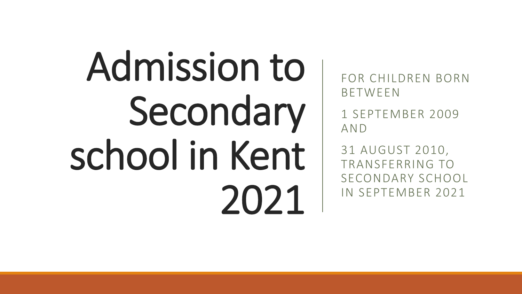# Admission to Secondary school in Kent 2021

FOR CHILDREN BORN BETWEEN

1 SEPTEMBER 2009 AND

31 AUGUST 2010, TRANSFERRING TO SECONDARY SCHOOL IN SEPTEMBER 2021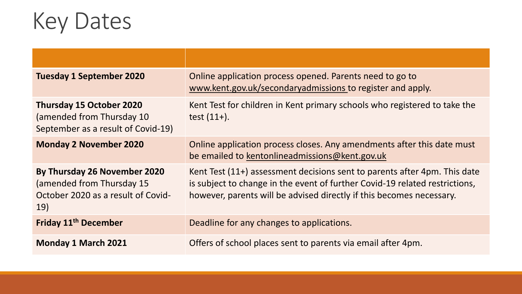## Key Dates

| <b>Tuesday 1 September 2020</b>                                                                               | Online application process opened. Parents need to go to<br>www.kent.gov.uk/secondaryadmissions to register and apply.                                                                                                           |
|---------------------------------------------------------------------------------------------------------------|----------------------------------------------------------------------------------------------------------------------------------------------------------------------------------------------------------------------------------|
| <b>Thursday 15 October 2020</b><br>(amended from Thursday 10)<br>September as a result of Covid-19)           | Kent Test for children in Kent primary schools who registered to take the<br>test $(11+)$ .                                                                                                                                      |
| <b>Monday 2 November 2020</b>                                                                                 | Online application process closes. Any amendments after this date must<br>be emailed to kentonlineadmissions@kent.gov.uk                                                                                                         |
| By Thursday 26 November 2020<br>(amended from Thursday 15)<br>October 2020 as a result of Covid-<br><b>19</b> | Kent Test (11+) assessment decisions sent to parents after 4pm. This date<br>is subject to change in the event of further Covid-19 related restrictions,<br>however, parents will be advised directly if this becomes necessary. |
| Friday 11 <sup>th</sup> December                                                                              | Deadline for any changes to applications.                                                                                                                                                                                        |
| <b>Monday 1 March 2021</b>                                                                                    | Offers of school places sent to parents via email after 4pm.                                                                                                                                                                     |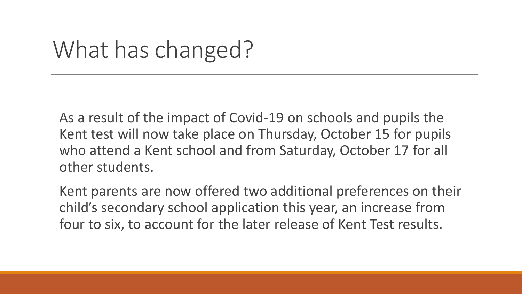## What has changed?

As a result of the impact of Covid-19 on schools and pupils the Kent test will now take place on Thursday, October 15 for pupils who attend a Kent school and from Saturday, October 17 for all other students.

Kent parents are now offered two additional preferences on their child's secondary school application this year, an increase from four to six, to account for the later release of Kent Test results.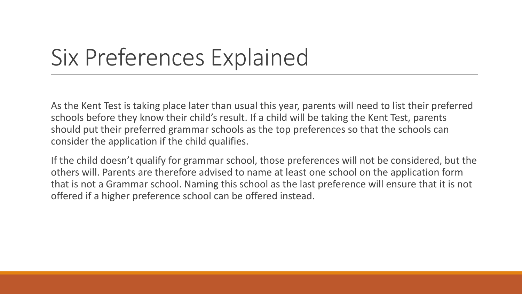## Six Preferences Explained

As the Kent Test is taking place later than usual this year, parents will need to list their preferred schools before they know their child's result. If a child will be taking the Kent Test, parents should put their preferred grammar schools as the top preferences so that the schools can consider the application if the child qualifies.

If the child doesn't qualify for grammar school, those preferences will not be considered, but the others will. Parents are therefore advised to name at least one school on the application form that is not a Grammar school. Naming this school as the last preference will ensure that it is not offered if a higher preference school can be offered instead.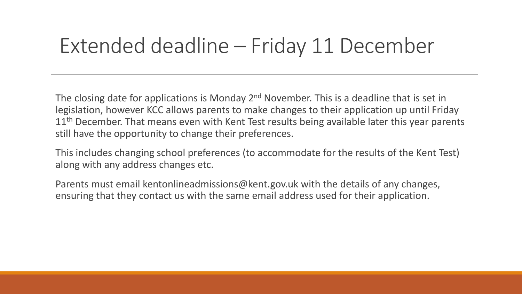#### Extended deadline – Friday 11 December

The closing date for applications is Monday 2<sup>nd</sup> November. This is a deadline that is set in legislation, however KCC allows parents to make changes to their application up until Friday 11<sup>th</sup> December. That means even with Kent Test results being available later this year parents still have the opportunity to change their preferences.

This includes changing school preferences (to accommodate for the results of the Kent Test) along with any address changes etc.

Parents must email kentonlineadmissions@kent.gov.uk with the details of any changes, ensuring that they contact us with the same email address used for their application.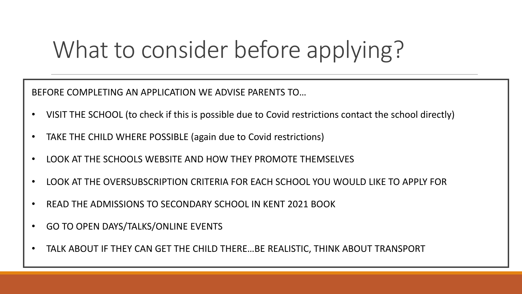# What to consider before applying?

BEFORE COMPLETING AN APPLICATION WE ADVISE PARENTS TO…

- VISIT THE SCHOOL (to check if this is possible due to Covid restrictions contact the school directly)
- TAKE THE CHILD WHERE POSSIBLE (again due to Covid restrictions)
- LOOK AT THE SCHOOLS WEBSITE AND HOW THEY PROMOTE THEMSELVES
- LOOK AT THE OVERSUBSCRIPTION CRITERIA FOR EACH SCHOOL YOU WOULD LIKE TO APPLY FOR
- READ THE ADMISSIONS TO SECONDARY SCHOOL IN KENT 2021 BOOK
- GO TO OPEN DAYS/TALKS/ONLINE EVENTS
- TALK ABOUT IF THEY CAN GET THE CHILD THERE…BE REALISTIC, THINK ABOUT TRANSPORT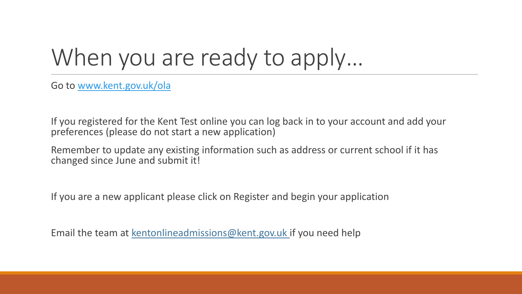# When you are ready to apply...

Go to [www.kent.gov.uk/ola](http://www.kent.gov.uk/ola)

If you registered for the Kent Test online you can log back in to your account and add your preferences (please do not start a new application)

Remember to update any existing information such as address or current school if it has changed since June and submit it!

If you are a new applicant please click on Register and begin your application

Email the team at k[entonlineadmissions@kent.gov.uk](mailto:Kentonlineadmissions@kent.gov.uk) if you need help